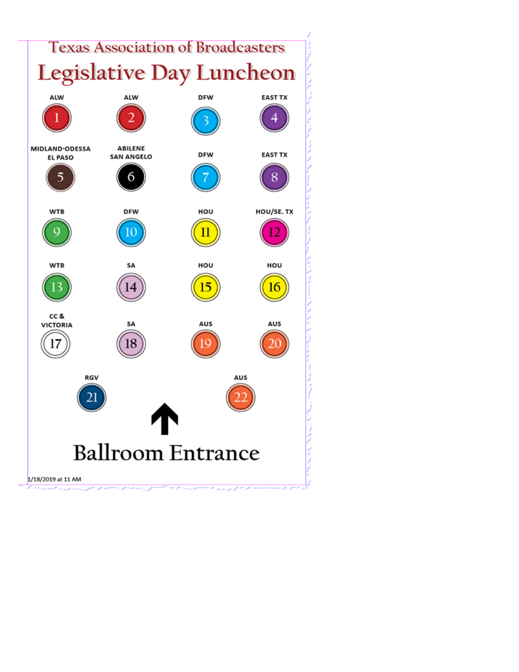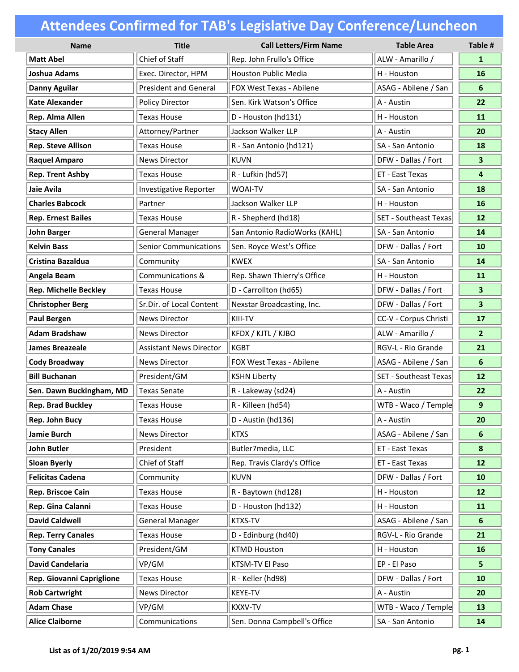| <b>Name</b>                  | <b>Title</b>                   | <b>Call Letters/Firm Name</b> | <b>Table Area</b>            | Table #                 |
|------------------------------|--------------------------------|-------------------------------|------------------------------|-------------------------|
| <b>Matt Abel</b>             | Chief of Staff                 | Rep. John Frullo's Office     | ALW - Amarillo /             | $\mathbf{1}$            |
| <b>Joshua Adams</b>          | Exec. Director, HPM            | <b>Houston Public Media</b>   | H - Houston                  | 16                      |
| <b>Danny Aguilar</b>         | <b>President and General</b>   | FOX West Texas - Abilene      | ASAG - Abilene / San         | 6                       |
| <b>Kate Alexander</b>        | Policy Director                | Sen. Kirk Watson's Office     | A - Austin                   | 22                      |
| Rep. Alma Allen              | <b>Texas House</b>             | D - Houston (hd131)           | H - Houston                  | 11                      |
| <b>Stacy Allen</b>           | Attorney/Partner               | Jackson Walker LLP            | A - Austin                   | 20                      |
| <b>Rep. Steve Allison</b>    | <b>Texas House</b>             | R - San Antonio (hd121)       | SA - San Antonio             | 18                      |
| <b>Raquel Amparo</b>         | <b>News Director</b>           | <b>KUVN</b>                   | DFW - Dallas / Fort          | 3                       |
| <b>Rep. Trent Ashby</b>      | <b>Texas House</b>             | R - Lufkin (hd57)             | ET - East Texas              | 4                       |
| Jaie Avila                   | Investigative Reporter         | <b>WOAI-TV</b>                | SA - San Antonio             | 18                      |
| <b>Charles Babcock</b>       | Partner                        | Jackson Walker LLP            | H - Houston                  | 16                      |
| <b>Rep. Ernest Bailes</b>    | <b>Texas House</b>             | R - Shepherd (hd18)           | <b>SET - Southeast Texas</b> | 12                      |
| <b>John Barger</b>           | <b>General Manager</b>         | San Antonio RadioWorks (KAHL) | SA - San Antonio             | 14                      |
| <b>Kelvin Bass</b>           | <b>Senior Communications</b>   | Sen. Royce West's Office      | DFW - Dallas / Fort          | 10                      |
| Cristina Bazaldua            | Community                      | <b>KWEX</b>                   | SA - San Antonio             | 14                      |
| Angela Beam                  | Communications &               | Rep. Shawn Thierry's Office   | H - Houston                  | 11                      |
| <b>Rep. Michelle Beckley</b> | <b>Texas House</b>             | D - Carrollton (hd65)         | DFW - Dallas / Fort          | 3                       |
| <b>Christopher Berg</b>      | Sr.Dir. of Local Content       | Nexstar Broadcasting, Inc.    | DFW - Dallas / Fort          | $\overline{\mathbf{3}}$ |
| <b>Paul Bergen</b>           | <b>News Director</b>           | KIII-TV                       | CC-V - Corpus Christi        | 17                      |
| <b>Adam Bradshaw</b>         | <b>News Director</b>           | KFDX / KJTL / KJBO            | ALW - Amarillo /             | $\overline{2}$          |
| <b>James Breazeale</b>       | <b>Assistant News Director</b> | <b>KGBT</b>                   | RGV-L - Rio Grande           | 21                      |
| <b>Cody Broadway</b>         | <b>News Director</b>           | FOX West Texas - Abilene      | ASAG - Abilene / San         | 6                       |
| <b>Bill Buchanan</b>         | President/GM                   | <b>KSHN Liberty</b>           | <b>SET - Southeast Texas</b> | 12                      |
| Sen. Dawn Buckingham, MD     | <b>Texas Senate</b>            | R - Lakeway (sd24)            | A - Austin                   | 22                      |
| <b>Rep. Brad Buckley</b>     | <b>Texas House</b>             | R - Killeen (hd54)            | WTB - Waco / Temple          | 9                       |
| Rep. John Bucy               | Texas House                    | D - Austin (hd136)            | A - Austin                   | 20                      |
| Jamie Burch                  | <b>News Director</b>           | <b>KTXS</b>                   | ASAG - Abilene / San         | 6                       |
| <b>John Butler</b>           | President                      | Butler7media, LLC             | ET - East Texas              | 8                       |
| <b>Sloan Byerly</b>          | Chief of Staff                 | Rep. Travis Clardy's Office   | ET - East Texas              | $12$                    |
| <b>Felicitas Cadena</b>      | Community                      | <b>KUVN</b>                   | DFW - Dallas / Fort          | 10                      |
| Rep. Briscoe Cain            | <b>Texas House</b>             | R - Baytown (hd128)           | H - Houston                  | 12                      |
| Rep. Gina Calanni            | Texas House                    | D - Houston (hd132)           | H - Houston                  | 11                      |
| <b>David Caldwell</b>        | <b>General Manager</b>         | KTXS-TV                       | ASAG - Abilene / San         | 6                       |
| <b>Rep. Terry Canales</b>    | <b>Texas House</b>             | D - Edinburg (hd40)           | RGV-L - Rio Grande           | 21                      |
| <b>Tony Canales</b>          | President/GM                   | <b>KTMD Houston</b>           | H - Houston                  | 16                      |
| <b>David Candelaria</b>      | VP/GM                          | KTSM-TV El Paso               | EP - El Paso                 | 5.                      |
| Rep. Giovanni Capriglione    | <b>Texas House</b>             | R - Keller (hd98)             | DFW - Dallas / Fort          | 10                      |
| <b>Rob Cartwright</b>        | <b>News Director</b>           | KEYE-TV                       | A - Austin                   | 20                      |
| <b>Adam Chase</b>            | VP/GM                          | KXXV-TV                       | WTB - Waco / Temple          | 13                      |
| <b>Alice Claiborne</b>       | Communications                 | Sen. Donna Campbell's Office  | SA - San Antonio             | 14                      |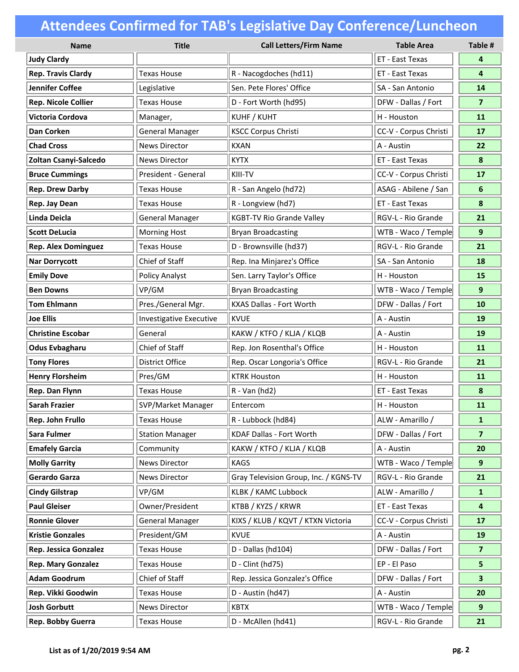| <b>Name</b>                  | <b>Title</b>            | <b>Call Letters/Firm Name</b>         | <b>Table Area</b>     | Table #        |
|------------------------------|-------------------------|---------------------------------------|-----------------------|----------------|
| <b>Judy Clardy</b>           |                         |                                       | ET - East Texas       | 4              |
| <b>Rep. Travis Clardy</b>    | <b>Texas House</b>      | R - Nacogdoches (hd11)                | ET - East Texas       | 4              |
| <b>Jennifer Coffee</b>       | Legislative             | Sen. Pete Flores' Office              | SA - San Antonio      | 14             |
| <b>Rep. Nicole Collier</b>   | <b>Texas House</b>      | D - Fort Worth (hd95)                 | DFW - Dallas / Fort   | $\overline{7}$ |
| <b>Victoria Cordova</b>      | Manager,                | KUHF / KUHT                           | H - Houston           | 11             |
| Dan Corken                   | <b>General Manager</b>  | <b>KSCC Corpus Christi</b>            | CC-V - Corpus Christi | 17             |
| <b>Chad Cross</b>            | <b>News Director</b>    | <b>KXAN</b>                           | A - Austin            | 22             |
| Zoltan Csanyi-Salcedo        | <b>News Director</b>    | <b>KYTX</b>                           | ET - East Texas       | 8              |
| <b>Bruce Cummings</b>        | President - General     | KIII-TV                               | CC-V - Corpus Christi | 17             |
| <b>Rep. Drew Darby</b>       | <b>Texas House</b>      | R - San Angelo (hd72)                 | ASAG - Abilene / San  | 6              |
| Rep. Jay Dean                | <b>Texas House</b>      | R - Longview (hd7)                    | ET - East Texas       | 8              |
| <b>Linda Deicla</b>          | <b>General Manager</b>  | <b>KGBT-TV Rio Grande Valley</b>      | RGV-L - Rio Grande    | 21             |
| <b>Scott DeLucia</b>         | <b>Morning Host</b>     | <b>Bryan Broadcasting</b>             | WTB - Waco / Temple   | 9              |
| <b>Rep. Alex Dominguez</b>   | <b>Texas House</b>      | D - Brownsville (hd37)                | RGV-L - Rio Grande    | 21             |
| <b>Nar Dorrycott</b>         | Chief of Staff          | Rep. Ina Minjarez's Office            | SA - San Antonio      | 18             |
| <b>Emily Dove</b>            | <b>Policy Analyst</b>   | Sen. Larry Taylor's Office            | H - Houston           | 15             |
| <b>Ben Downs</b>             | VP/GM                   | <b>Bryan Broadcasting</b>             | WTB - Waco / Temple   | 9              |
| <b>Tom Ehlmann</b>           | Pres./General Mgr.      | KXAS Dallas - Fort Worth              | DFW - Dallas / Fort   | 10             |
| <b>Joe Ellis</b>             | Investigative Executive | <b>KVUE</b>                           | A - Austin            | 19             |
| <b>Christine Escobar</b>     | General                 | KAKW / KTFO / KLJA / KLQB             | A - Austin            | 19             |
| <b>Odus Evbagharu</b>        | Chief of Staff          | Rep. Jon Rosenthal's Office           | H - Houston           | 11             |
| <b>Tony Flores</b>           | <b>District Office</b>  | Rep. Oscar Longoria's Office          | RGV-L - Rio Grande    | 21             |
| <b>Henry Florsheim</b>       | Pres/GM                 | <b>KTRK Houston</b>                   | H - Houston           | 11             |
| Rep. Dan Flynn               | <b>Texas House</b>      | R - Van (hd2)                         | ET - East Texas       | 8              |
| <b>Sarah Frazier</b>         | SVP/Market Manager      | Entercom                              | H - Houston           | 11             |
| Rep. John Frullo             | Texas House             | R - Lubbock (hd84)                    | ALW - Amarillo /      | $\mathbf{1}$   |
| Sara Fulmer                  | <b>Station Manager</b>  | KDAF Dallas - Fort Worth              | DFW - Dallas / Fort   | $\overline{7}$ |
| <b>Emafely Garcia</b>        | Community               | KAKW / KTFO / KLJA / KLQB             | A - Austin            | 20             |
| <b>Molly Garrity</b>         | <b>News Director</b>    | <b>KAGS</b>                           | WTB - Waco / Temple   | 9              |
| Gerardo Garza                | <b>News Director</b>    | Gray Television Group, Inc. / KGNS-TV | RGV-L - Rio Grande    | 21             |
| <b>Cindy Gilstrap</b>        | VP/GM                   | <b>KLBK / KAMC Lubbock</b>            | ALW - Amarillo /      | $\mathbf{1}$   |
| <b>Paul Gleiser</b>          | Owner/President         | KTBB / KYZS / KRWR                    | ET - East Texas       | 4              |
| <b>Ronnie Glover</b>         | <b>General Manager</b>  | KIXS / KLUB / KQVT / KTXN Victoria    | CC-V - Corpus Christi | 17             |
| <b>Kristie Gonzales</b>      | President/GM            | <b>KVUE</b>                           | A - Austin            | 19             |
| <b>Rep. Jessica Gonzalez</b> | <b>Texas House</b>      | D - Dallas (hd104)                    | DFW - Dallas / Fort   | $\overline{7}$ |
| <b>Rep. Mary Gonzalez</b>    | <b>Texas House</b>      | D - Clint (hd75)                      | EP - El Paso          | 5              |
| <b>Adam Goodrum</b>          | Chief of Staff          | Rep. Jessica Gonzalez's Office        | DFW - Dallas / Fort   | 3              |
| Rep. Vikki Goodwin           | Texas House             | D - Austin (hd47)                     | A - Austin            | 20             |
| <b>Josh Gorbutt</b>          | <b>News Director</b>    | <b>KBTX</b>                           | WTB - Waco / Temple   | 9              |
| Rep. Bobby Guerra            | <b>Texas House</b>      | D - McAllen (hd41)                    | RGV-L - Rio Grande    | 21             |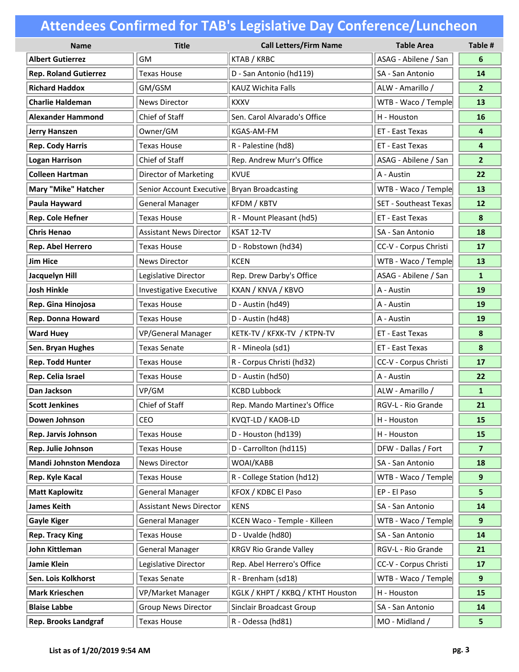| <b>Name</b>                   | <b>Title</b>                   | <b>Call Letters/Firm Name</b>     | <b>Table Area</b>            | Table #        |
|-------------------------------|--------------------------------|-----------------------------------|------------------------------|----------------|
| <b>Albert Gutierrez</b>       | GM                             | KTAB / KRBC                       | ASAG - Abilene / San         | 6              |
| <b>Rep. Roland Gutierrez</b>  | <b>Texas House</b>             | D - San Antonio (hd119)           | SA - San Antonio             | 14             |
| <b>Richard Haddox</b>         | GM/GSM                         | <b>KAUZ Wichita Falls</b>         | ALW - Amarillo /             | $\mathbf{2}$   |
| <b>Charlie Haldeman</b>       | <b>News Director</b>           | <b>KXXV</b>                       | WTB - Waco / Temple          | 13             |
| <b>Alexander Hammond</b>      | Chief of Staff                 | Sen. Carol Alvarado's Office      | H - Houston                  | 16             |
| <b>Jerry Hanszen</b>          | Owner/GM                       | <b>KGAS-AM-FM</b>                 | ET - East Texas              | 4              |
| <b>Rep. Cody Harris</b>       | <b>Texas House</b>             | R - Palestine (hd8)               | ET - East Texas              | 4              |
| <b>Logan Harrison</b>         | Chief of Staff                 | Rep. Andrew Murr's Office         | ASAG - Abilene / San         | 2 <sup>1</sup> |
| <b>Colleen Hartman</b>        | Director of Marketing          | <b>KVUE</b>                       | A - Austin                   | 22             |
| <b>Mary "Mike" Hatcher</b>    | Senior Account Executive       | <b>Bryan Broadcasting</b>         | WTB - Waco / Temple          | 13             |
| Paula Hayward                 | <b>General Manager</b>         | KFDM / KBTV                       | <b>SET - Southeast Texas</b> | 12             |
| Rep. Cole Hefner              | <b>Texas House</b>             | R - Mount Pleasant (hd5)          | ET - East Texas              | 8              |
| <b>Chris Henao</b>            | <b>Assistant News Director</b> | KSAT 12-TV                        | SA - San Antonio             | 18             |
| Rep. Abel Herrero             | <b>Texas House</b>             | D - Robstown (hd34)               | CC-V - Corpus Christi        | 17             |
| <b>Jim Hice</b>               | <b>News Director</b>           | <b>KCEN</b>                       | WTB - Waco / Temple          | 13             |
| Jacquelyn Hill                | Legislative Director           | Rep. Drew Darby's Office          | ASAG - Abilene / San         | $\mathbf{1}$   |
| <b>Josh Hinkle</b>            | Investigative Executive        | KXAN / KNVA / KBVO                | A - Austin                   | 19             |
| Rep. Gina Hinojosa            | <b>Texas House</b>             | D - Austin (hd49)                 | A - Austin                   | 19             |
| Rep. Donna Howard             | <b>Texas House</b>             | D - Austin (hd48)                 | A - Austin                   | 19             |
| <b>Ward Huey</b>              | VP/General Manager             | KETK-TV / KFXK-TV / KTPN-TV       | ET - East Texas              | 8              |
| Sen. Bryan Hughes             | <b>Texas Senate</b>            | R - Mineola (sd1)                 | ET - East Texas              | 8              |
| <b>Rep. Todd Hunter</b>       | <b>Texas House</b>             | R - Corpus Christi (hd32)         | CC-V - Corpus Christi        | 17             |
| Rep. Celia Israel             | <b>Texas House</b>             | D - Austin (hd50)                 | A - Austin                   | 22             |
| Dan Jackson                   | VP/GM                          | <b>KCBD Lubbock</b>               | ALW - Amarillo /             | $\mathbf{1}$   |
| <b>Scott Jenkines</b>         | Chief of Staff                 | Rep. Mando Martinez's Office      | RGV-L - Rio Grande           | 21             |
| Dowen Johnson                 | <b>CEO</b>                     | KVQT-LD / KAOB-LD                 | H - Houston                  | 15             |
| Rep. Jarvis Johnson           | <b>Texas House</b>             | D - Houston (hd139)               | H - Houston                  | 15             |
| Rep. Julie Johnson            | <b>Texas House</b>             | D - Carrollton (hd115)            | DFW - Dallas / Fort          | $\overline{7}$ |
| <b>Mandi Johnston Mendoza</b> | News Director                  | WOAI/KABB                         | SA - San Antonio             | 18             |
| Rep. Kyle Kacal               | Texas House                    | R - College Station (hd12)        | WTB - Waco / Temple          | 9              |
| <b>Matt Kaplowitz</b>         | <b>General Manager</b>         | KFOX / KDBC El Paso               | EP - El Paso                 | 5              |
| <b>James Keith</b>            | <b>Assistant News Director</b> | <b>KENS</b>                       | SA - San Antonio             | 14             |
| <b>Gayle Kiger</b>            | <b>General Manager</b>         | KCEN Waco - Temple - Killeen      | WTB - Waco / Temple          | 9              |
| <b>Rep. Tracy King</b>        | <b>Texas House</b>             | D - Uvalde (hd80)                 | SA - San Antonio             | 14             |
| John Kittleman                | <b>General Manager</b>         | <b>KRGV Rio Grande Valley</b>     | RGV-L - Rio Grande           | 21             |
| <b>Jamie Klein</b>            | Legislative Director           | Rep. Abel Herrero's Office        | CC-V - Corpus Christi        | 17             |
| Sen. Lois Kolkhorst           | <b>Texas Senate</b>            | R - Brenham (sd18)                | WTB - Waco / Temple          | 9 <sup>°</sup> |
| <b>Mark Krieschen</b>         | VP/Market Manager              | KGLK / KHPT / KKBQ / KTHT Houston | H - Houston                  | 15             |
| <b>Blaise Labbe</b>           | <b>Group News Director</b>     | Sinclair Broadcast Group          | SA - San Antonio             | 14             |
| <b>Rep. Brooks Landgraf</b>   | <b>Texas House</b>             | R - Odessa (hd81)                 | MO - Midland /               | 5 <sub>1</sub> |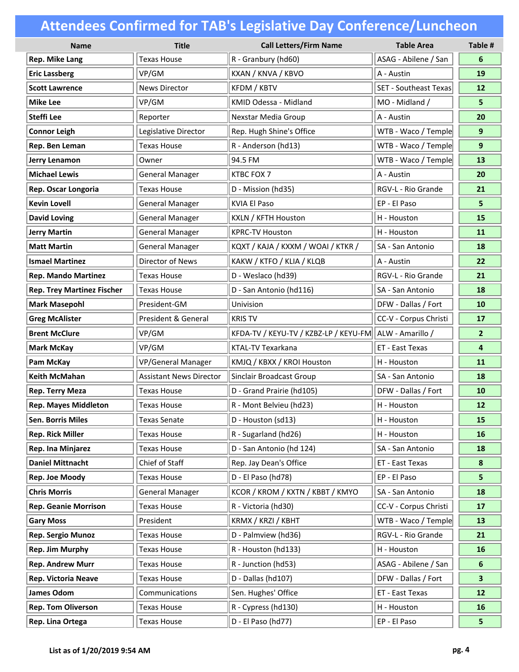| <b>Name</b>                       | <b>Title</b>                   | <b>Call Letters/Firm Name</b>                          | <b>Table Area</b>            | Table #          |
|-----------------------------------|--------------------------------|--------------------------------------------------------|------------------------------|------------------|
| Rep. Mike Lang                    | <b>Texas House</b>             | R - Granbury (hd60)                                    | ASAG - Abilene / San         | 6                |
| <b>Eric Lassberg</b>              | VP/GM                          | KXAN / KNVA / KBVO                                     | A - Austin                   | 19               |
| <b>Scott Lawrence</b>             | <b>News Director</b>           | KFDM / KBTV                                            | <b>SET - Southeast Texas</b> | 12               |
| <b>Mike Lee</b>                   | VP/GM                          | KMID Odessa - Midland                                  | MO - Midland /               | 5                |
| Steffi Lee                        | Reporter                       | Nexstar Media Group                                    | A - Austin                   | 20               |
| <b>Connor Leigh</b>               | Legislative Director           | Rep. Hugh Shine's Office                               | WTB - Waco / Temple          | 9                |
| Rep. Ben Leman                    | <b>Texas House</b>             | R - Anderson (hd13)                                    | WTB - Waco / Temple          | 9                |
| Jerry Lenamon                     | Owner                          | 94.5 FM                                                | WTB - Waco / Temple          | 13               |
| <b>Michael Lewis</b>              | <b>General Manager</b>         | KTBC FOX 7                                             | A - Austin                   | 20               |
| Rep. Oscar Longoria               | <b>Texas House</b>             | D - Mission (hd35)                                     | RGV-L - Rio Grande           | 21               |
| <b>Kevin Lovell</b>               | <b>General Manager</b>         | <b>KVIA El Paso</b>                                    | EP - El Paso                 | 5                |
| <b>David Loving</b>               | <b>General Manager</b>         | KXLN / KFTH Houston                                    | H - Houston                  | 15               |
| <b>Jerry Martin</b>               | <b>General Manager</b>         | <b>KPRC-TV Houston</b>                                 | H - Houston                  | 11               |
| <b>Matt Martin</b>                | <b>General Manager</b>         | KQXT / KAJA / KXXM / WOAI / KTKR /                     | SA - San Antonio             | 18               |
| <b>Ismael Martinez</b>            | Director of News               | KAKW / KTFO / KLIA / KLQB                              | A - Austin                   | 22               |
| <b>Rep. Mando Martinez</b>        | <b>Texas House</b>             | D - Weslaco (hd39)                                     | RGV-L - Rio Grande           | 21               |
| <b>Rep. Trey Martinez Fischer</b> | <b>Texas House</b>             | D - San Antonio (hd116)                                | SA - San Antonio             | 18               |
| <b>Mark Masepohl</b>              | President-GM                   | Univision                                              | DFW - Dallas / Fort          | 10               |
| <b>Greg McAlister</b>             | President & General            | <b>KRIS TV</b>                                         | CC-V - Corpus Christi        | 17               |
| <b>Brent McClure</b>              | VP/GM                          | KFDA-TV / KEYU-TV / KZBZ-LP / KEYU-FM ALW - Amarillo / |                              | $\overline{2}$   |
| <b>Mark McKay</b>                 | VP/GM                          | KTAL-TV Texarkana                                      | ET - East Texas              | 4                |
| Pam McKay                         | VP/General Manager             | KMJQ / KBXX / KROI Houston                             | H - Houston                  | 11               |
| <b>Keith McMahan</b>              | <b>Assistant News Director</b> | Sinclair Broadcast Group                               | SA - San Antonio             | 18               |
| <b>Rep. Terry Meza</b>            | <b>Texas House</b>             | D - Grand Prairie (hd105)                              | DFW - Dallas / Fort          | 10               |
| <b>Rep. Mayes Middleton</b>       | <b>Texas House</b>             | R - Mont Belvieu (hd23)                                | H - Houston                  | 12               |
| Sen. Borris Miles                 | Texas Senate                   | D - Houston (sd13)                                     | H - Houston                  | 15               |
| <b>Rep. Rick Miller</b>           | <b>Texas House</b>             | R - Sugarland (hd26)                                   | H - Houston                  | 16               |
| Rep. Ina Minjarez                 | <b>Texas House</b>             | D - San Antonio (hd 124)                               | SA - San Antonio             | 18               |
| <b>Daniel Mittnacht</b>           | Chief of Staff                 | Rep. Jay Dean's Office                                 | ET - East Texas              | $\boldsymbol{8}$ |
| Rep. Joe Moody                    | <b>Texas House</b>             | D - El Paso (hd78)                                     | EP - El Paso                 | 5.               |
| <b>Chris Morris</b>               | <b>General Manager</b>         | KCOR / KROM / KXTN / KBBT / KMYO                       | SA - San Antonio             | 18               |
| <b>Rep. Geanie Morrison</b>       | <b>Texas House</b>             | R - Victoria (hd30)                                    | CC-V - Corpus Christi        | 17               |
| <b>Gary Moss</b>                  | President                      | KRMX / KRZI / KBHT                                     | WTB - Waco / Temple          | 13               |
| Rep. Sergio Munoz                 | <b>Texas House</b>             | D - Palmview (hd36)                                    | RGV-L - Rio Grande           | 21               |
| <b>Rep. Jim Murphy</b>            | <b>Texas House</b>             | R - Houston (hd133)                                    | H - Houston                  | 16               |
| <b>Rep. Andrew Murr</b>           | <b>Texas House</b>             | R - Junction (hd53)                                    | ASAG - Abilene / San         | 6                |
| <b>Rep. Victoria Neave</b>        | <b>Texas House</b>             | D - Dallas (hd107)                                     | DFW - Dallas / Fort          | 3                |
| James Odom                        | Communications                 | Sen. Hughes' Office                                    | ET - East Texas              | 12               |
| <b>Rep. Tom Oliverson</b>         | <b>Texas House</b>             | R - Cypress (hd130)                                    | H - Houston                  | 16               |
| Rep. Lina Ortega                  | <b>Texas House</b>             | D - El Paso (hd77)                                     | EP - El Paso                 | 5                |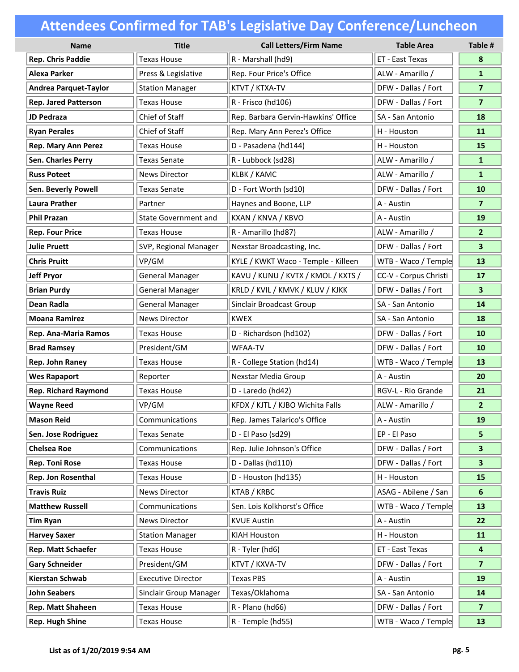| <b>Name</b>                  | <b>Title</b>                | <b>Call Letters/Firm Name</b>       | <b>Table Area</b>     | Table #                 |
|------------------------------|-----------------------------|-------------------------------------|-----------------------|-------------------------|
| <b>Rep. Chris Paddie</b>     | <b>Texas House</b>          | R - Marshall (hd9)                  | ET - East Texas       | 8                       |
| Alexa Parker                 | Press & Legislative         | Rep. Four Price's Office            | ALW - Amarillo /      | $\mathbf{1}$            |
| <b>Andrea Parquet-Taylor</b> | <b>Station Manager</b>      | KTVT / KTXA-TV                      | DFW - Dallas / Fort   | $\overline{7}$          |
| <b>Rep. Jared Patterson</b>  | <b>Texas House</b>          | R - Frisco (hd106)                  | DFW - Dallas / Fort   | $\overline{\mathbf{z}}$ |
| <b>JD Pedraza</b>            | Chief of Staff              | Rep. Barbara Gervin-Hawkins' Office | SA - San Antonio      | 18                      |
| <b>Ryan Perales</b>          | Chief of Staff              | Rep. Mary Ann Perez's Office        | H - Houston           | 11                      |
| <b>Rep. Mary Ann Perez</b>   | <b>Texas House</b>          | D - Pasadena (hd144)                | H - Houston           | 15                      |
| Sen. Charles Perry           | <b>Texas Senate</b>         | R - Lubbock (sd28)                  | ALW - Amarillo /      | $\mathbf{1}$            |
| <b>Russ Poteet</b>           | <b>News Director</b>        | KLBK / KAMC                         | ALW - Amarillo /      | $\mathbf{1}$            |
| <b>Sen. Beverly Powell</b>   | <b>Texas Senate</b>         | D - Fort Worth (sd10)               | DFW - Dallas / Fort   | 10                      |
| <b>Laura Prather</b>         | Partner                     | Haynes and Boone, LLP               | A - Austin            | $\overline{\mathbf{z}}$ |
| <b>Phil Prazan</b>           | <b>State Government and</b> | KXAN / KNVA / KBVO                  | A - Austin            | 19                      |
| <b>Rep. Four Price</b>       | <b>Texas House</b>          | R - Amarillo (hd87)                 | ALW - Amarillo /      | 2 <sup>1</sup>          |
| <b>Julie Pruett</b>          | SVP, Regional Manager       | Nexstar Broadcasting, Inc.          | DFW - Dallas / Fort   | 3 <sup>1</sup>          |
| <b>Chris Pruitt</b>          | VP/GM                       | KYLE / KWKT Waco - Temple - Killeen | WTB - Waco / Temple   | 13                      |
| <b>Jeff Pryor</b>            | <b>General Manager</b>      | KAVU / KUNU / KVTX / KMOL / KXTS /  | CC-V - Corpus Christi | 17                      |
| <b>Brian Purdy</b>           | <b>General Manager</b>      | KRLD / KVIL / KMVK / KLUV / KJKK    | DFW - Dallas / Fort   | $\overline{\mathbf{3}}$ |
| Dean Radla                   | <b>General Manager</b>      | Sinclair Broadcast Group            | SA - San Antonio      | 14                      |
| <b>Moana Ramirez</b>         | <b>News Director</b>        | <b>KWEX</b>                         | SA - San Antonio      | 18                      |
| Rep. Ana-Maria Ramos         | <b>Texas House</b>          | D - Richardson (hd102)              | DFW - Dallas / Fort   | 10                      |
| <b>Brad Ramsey</b>           | President/GM                | <b>WFAA-TV</b>                      | DFW - Dallas / Fort   | 10                      |
| <b>Rep. John Raney</b>       | <b>Texas House</b>          | R - College Station (hd14)          | WTB - Waco / Temple   | 13                      |
| <b>Wes Rapaport</b>          | Reporter                    | Nexstar Media Group                 | A - Austin            | 20                      |
| <b>Rep. Richard Raymond</b>  | <b>Texas House</b>          | D - Laredo (hd42)                   | RGV-L - Rio Grande    | 21                      |
| <b>Wayne Reed</b>            | VP/GM                       | KFDX / KJTL / KJBO Wichita Falls    | ALW - Amarillo /      | $\overline{2}$          |
| Mason Reid                   | Communications              | Rep. James Talarico's Office        | A - Austin            | 19                      |
| Sen. Jose Rodriguez          | <b>Texas Senate</b>         | D - El Paso (sd29)                  | EP - El Paso          | 5                       |
| <b>Chelsea Roe</b>           | Communications              | Rep. Julie Johnson's Office         | DFW - Dallas / Fort   | $\mathbf{3}$            |
| <b>Rep. Toni Rose</b>        | <b>Texas House</b>          | D - Dallas (hd110)                  | DFW - Dallas / Fort   | 3 <sup>2</sup>          |
| Rep. Jon Rosenthal           | <b>Texas House</b>          | D - Houston (hd135)                 | H - Houston           | 15                      |
| <b>Travis Ruiz</b>           | <b>News Director</b>        | KTAB / KRBC                         | ASAG - Abilene / San  | 6                       |
| <b>Matthew Russell</b>       | Communications              | Sen. Lois Kolkhorst's Office        | WTB - Waco / Temple   | 13                      |
| <b>Tim Ryan</b>              | <b>News Director</b>        | <b>KVUE Austin</b>                  | A - Austin            | 22                      |
| <b>Harvey Saxer</b>          | <b>Station Manager</b>      | <b>KIAH Houston</b>                 | H - Houston           | 11                      |
| Rep. Matt Schaefer           | Texas House                 | R - Tyler (hd6)                     | ET - East Texas       | 4                       |
| <b>Gary Schneider</b>        | President/GM                | KTVT / KXVA-TV                      | DFW - Dallas / Fort   | $\overline{7}$          |
| Kierstan Schwab              | <b>Executive Director</b>   | <b>Texas PBS</b>                    | A - Austin            | 19                      |
| <b>John Seabers</b>          | Sinclair Group Manager      | Texas/Oklahoma                      | SA - San Antonio      | 14                      |
| Rep. Matt Shaheen            | <b>Texas House</b>          | R - Plano (hd66)                    | DFW - Dallas / Fort   | $\overline{7}$          |
| <b>Rep. Hugh Shine</b>       | <b>Texas House</b>          | R - Temple (hd55)                   | WTB - Waco / Temple   | 13                      |